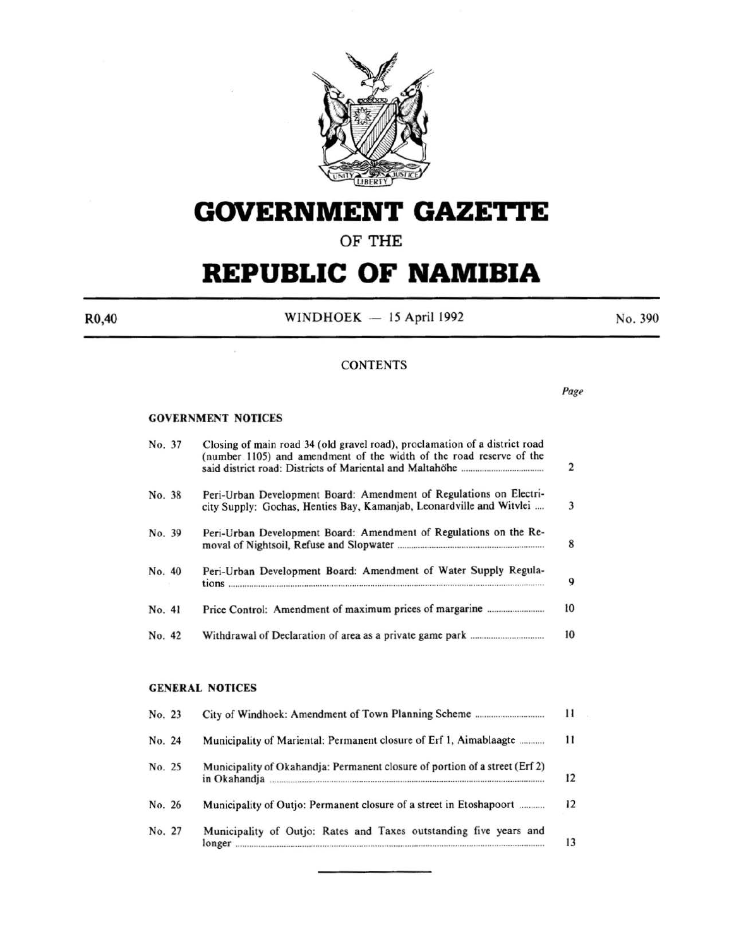

# **GOVERNMENT GAZETTE**

### OF THE

# **REPUBLIC OF NAMIBIA**

R0,40

WINDHOEK  $-15$  April 1992

No. 390

#### **CONTENTS**

*Page* 

#### GOVERNMENT NOTICES

| No. 37 | Closing of main road 34 (old gravel road), proclamation of a district road<br>(number 1105) and amendment of the width of the road reserve of the | $\overline{2}$ |
|--------|---------------------------------------------------------------------------------------------------------------------------------------------------|----------------|
| No. 38 | Peri-Urban Development Board: Amendment of Regulations on Electri-<br>city Supply: Gochas, Henties Bay, Kamanjab, Leonardville and Witvlei        | 3              |
| No. 39 | Peri-Urban Development Board: Amendment of Regulations on the Re-                                                                                 | 8              |
| No. 40 | Peri-Urban Development Board: Amendment of Water Supply Regula-                                                                                   | 9              |
| No. 41 |                                                                                                                                                   | 10             |
| No. 42 |                                                                                                                                                   | 10             |
|        | <b>GENERAL NOTICES</b>                                                                                                                            |                |
| No. 23 |                                                                                                                                                   | 11             |
| No. 24 | Municipality of Mariental: Permanent closure of Erf 1, Aimablaagte                                                                                | 11             |
| No. 25 | Municipality of Okahandja: Permanent closure of portion of a street (Erf 2)                                                                       | 12             |
| No. 26 | Municipality of Outjo: Permanent closure of a street in Etoshapoort                                                                               | 12             |

No. 27 Municipality of Outjo: Rates and Taxes outstanding five years and longer ...................................................................................................................................... . 13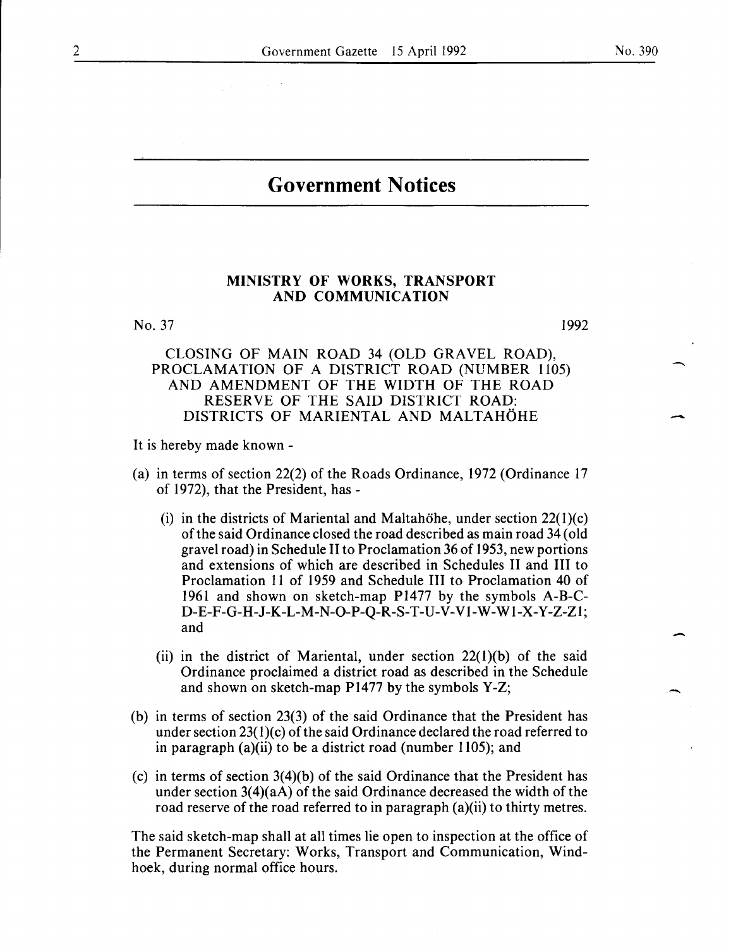$\overline{\phantom{a}}$ 

-

-

### **Government Notices**

#### MINISTRY OF WORKS, TRANSPORT AND COMMUNICATION

No. 37

1992

#### CLOSING OF MAIN ROAD 34 (OLD GRAVEL ROAD), PROCLAMATION OF A DISTRICT ROAD (NUMBER 1105) AND AMENDMENT OF THE WIDTH OF THE ROAD RESERVE OF THE SAID DISTRICT ROAD: DISTRICTS OF MARIENTAL AND MALTAHOHE

It is hereby made known-

- (a) in terms of section 22(2) of the Roads Ordinance, 1972 (Ordinance 17 of 1972), that the President, has -
	- (i) in the districts of Mariental and Maltahohe, under section  $22(1)(c)$ of the said Ordinance closed the road described as main road 34 (old gravel road) in Schedule II to Proclamation 36 of 1953, new portions and extensions of which are described in Schedules II and III to Proclamation 11 of 1959 and Schedule III to Proclamation 40 of 1961 and shown on sketch-map P1477 by the symbols A-B-C-D-E-F-G-H -J-K-L-M -N-0-P-Q-R-S-T-U-V-VI-W-W 1-X-Y -Z-Zl; and
	- (ii) in the district of Mariental, under section  $22(1)(b)$  of the said Ordinance proclaimed a district road as described in the Schedule and shown on sketch-map P1477 by the symbols Y-Z;
- (b) in terms of section 23(3) of the said Ordinance that the President has under section  $23(1)(c)$  of the said Ordinance declared the road referred to in paragraph (a)(ii) to be a district road (number 1105); and
- (c) in terms of section 3(4)(b) of the said Ordinance that the President has under section  $3(4)(aA)$  of the said Ordinance decreased the width of the road reserve of the road referred to in paragraph (a)(ii) to thirty metres.

The said sketch-map shall at all times lie open to inspection at the office of the Permanent Secretary: Works, Transport and Communication, Windhoek, during normal office hours.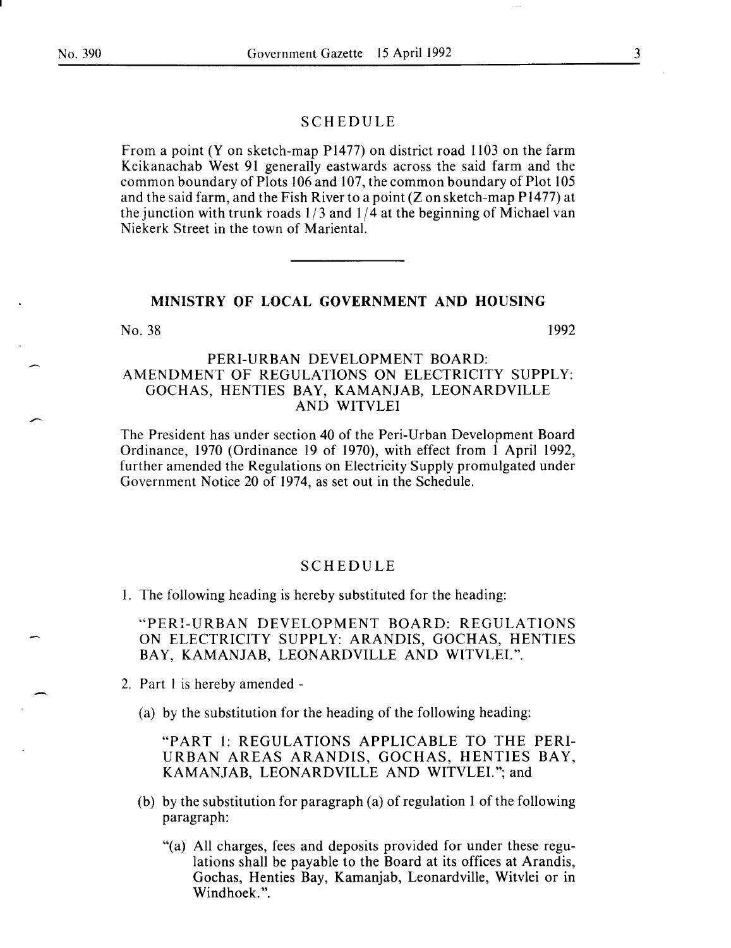#### SCHEDULE

From a point (Y on sketch-map P1477) on district road 1103 on the farm Keikanachab West 91 generally eastwards across the said farm and the common boundary of Plots 106 and 107, the common boundary of Plot 105 and the said farm, and the Fish River to a point (Z on sketch-map **P** 1477) at the junction with trunk roads  $1/3$  and  $1/4$  at the beginning of Michael van Niekerk Street in the town of Mariental.

#### **MINISTRY OF LOCAL GOVERNMENT AND HOUSING**

No. 38 1992

#### PERI-URBAN DEVELOPMENT BOARD: AMENDMENT OF REGULATIONS ON ELECTRICITY SUPPLY: GOCHAS, HENTIES BAY, KAMANJAB, LEONARDVILLE AND WITVLEI

The President has under section 40 of the Peri-Urban Development Board Ordinance, 1970 (Ordinance 19 of 1970), with effect from 1 April 1992, further amended the Regulations on Electricity Supply promulgated under Government Notice 20 of 1974, as set out in the Schedule.

#### SCHEDULE

I. The following heading is hereby substituted for the heading:

"PERI-URBAN DEVELOPMENT BOARD: REGULATIONS ON ELECTRICITY SUPPLY: ARANDIS, GOCHAS, HENTIES BAY, KAMANJAB, LEONARDVILLE AND WITVLEI.".

- 2. Part I is hereby amended
	- (a) by the substitution for the heading of the following heading:

"PART 1: REGULATIONS APPLICABLE TO THE PERI-URBAN AREAS ARANDIS, GOCHAS, HENTIES BAY, KAMANJAB, LEONARDVILLE AND WITVLEI."; and

- (b) by the substitution for paragraph (a) of regulation 1 of the following paragraph:
	- "(a) All charges, fees and deposits provided for under these regulations shall be payable to the Board at its offices at Arandis, Gochas, Henties Bay, Kamanjab, Leonardville, Witvlei or in Windhoek.".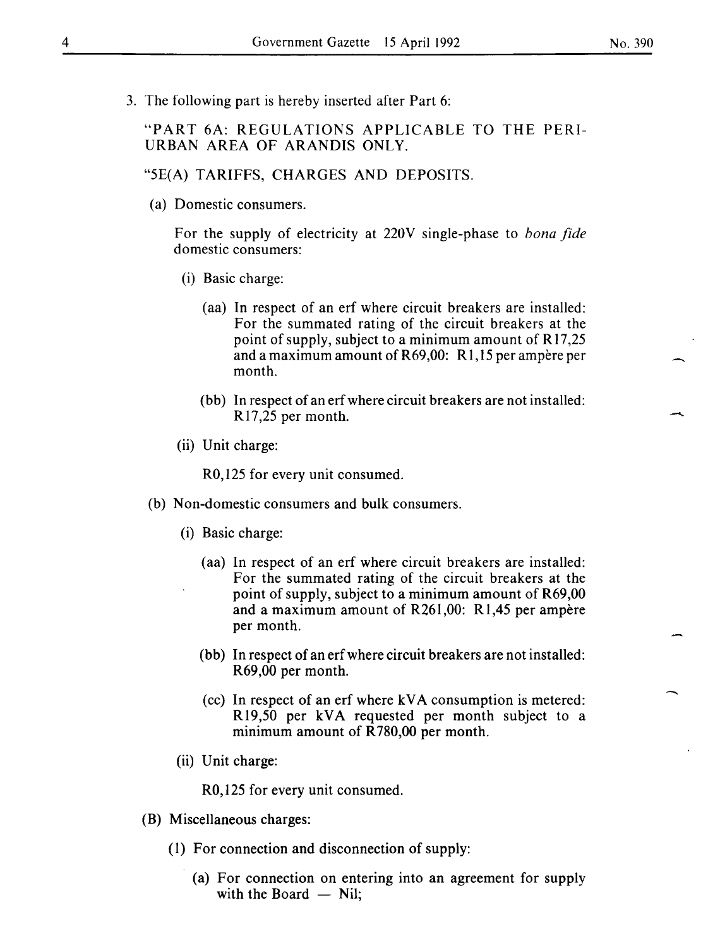No. 390

-

-

3. The following part is hereby inserted after Part 6:

"PART 6A: REGULATIONS APPLICABLE TO THE PERI-URBAN AREA OF ARANDIS ONLY.

#### "5E(A) TARIFFS, CHARGES AND DEPOSITS.

(a) Domestic consumers.

For the supply of electricity at 220V single-phase to *bona fide*  domestic consumers:

- (i) Basic charge:
	- (aa) In respect of an erf where circuit breakers are installed: For the summated rating of the circuit breakers at the point of supply, subject to a minimum amount of R 17,25 and a maximum amount of  $R69,00$ : R1,15 per ampere per month.
	- (bb) In respect of an erfwhere circuit breakers are not installed: R 17,25 per month.
- (ii) Unit charge:

R0,125 for every unit consumed.

- (b) Non-domestic consumers and bulk consumers.
	- (i) Basic charge:
		- (aa) In respect of an erf where circuit breakers are installed: For the summated rating of the circuit breakers at the point of supply, subject to a minimum amount of R69,00 and a maximum amount of R261,00: R1,45 per ampere per month.
		- (bb) In respect of an erf where circuit breakers are not installed: R69,00 per month.
		- (cc) In respect of an erf where kVA consumption is metered: R19,50 per kVA requested per month subject to a minimum amount of R 780,00 per month.
	- (ii) Unit charge:

R0,125 for every unit consumed.

- (B) Miscellaneous charges:
	- (1) For connection and disconnection of supply:
		- (a) For connection on entering into an agreement for supply with the Board  $-$  Nil;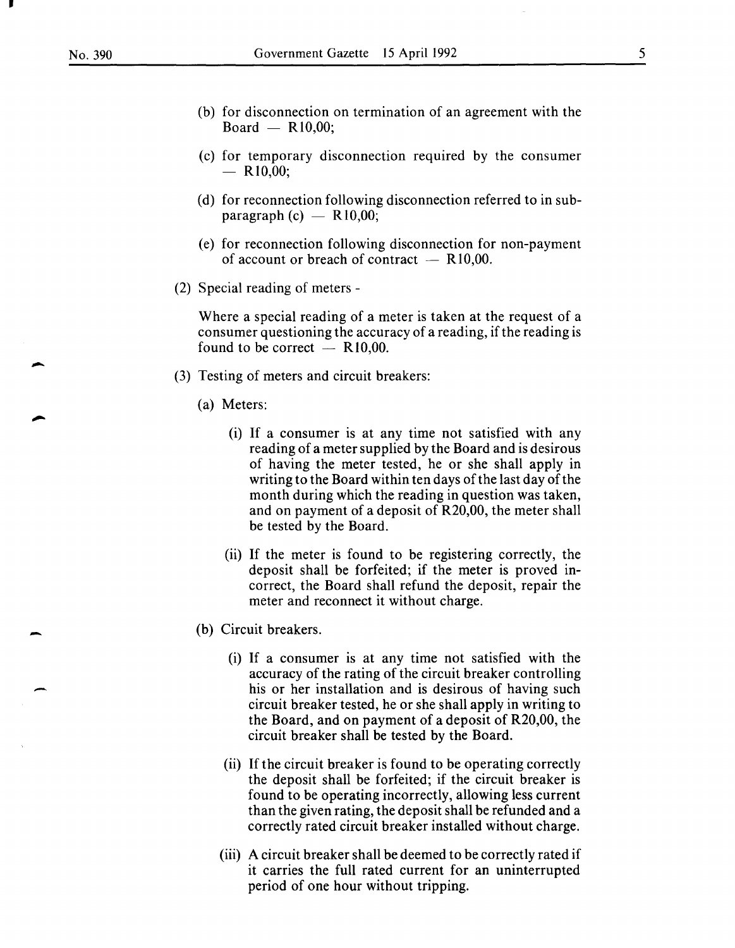•

-

-

-

- (b) for disconnection on termination of an agreement with the  $Board - R10,00;$
- (c) for temporary disconnection required by the consumer  $-$  R<sub>10</sub>,00;
- (d) for reconnection following disconnection referred to in subparagraph  $(c)$  - R10,00;
- (e) for reconnection following disconnection for non-payment of account or breach of contract  $-$  R10,00.
- (2) Special reading of meters-

Where a special reading of a meter is taken at the request of a consumer questioning the accuracy of a reading, if the reading is found to be correct  $-$  R10,00.

- (3) Testing of meters and circuit breakers:
	- (a) Meters:
		- (i) If a consumer is at any time not satisfied with any reading of a meter supplied by the Board and is desirous of having the meter tested, he or she shall apply in writing to the Board within ten days of the last day of the month during which the reading in question was taken, and on payment of a deposit of R20,00, the meter shall be tested by the Board.
		- (ii) If the meter is found to be registering correctly, the deposit shall be forfeited; if the meter is proved incorrect, the Board shall refund the deposit, repair the meter and reconnect it without charge.
	- (b) Circuit breakers.
		- (i) If a consumer is at any time not satisfied with the accuracy of the rating of the circuit breaker controlling his or her installation and is desirous of having such circuit breaker tested, he or she shall apply in writing to the Board, and on payment of a deposit of R20,00, the circuit breaker shall be tested by the Board.
		- (ii) If the circuit breaker is found to be operating correctly the deposit shall be forfeited; if the circuit breaker is found to be operating incorrectly, allowing less current than the given rating, the deposit shall be refunded and a correctly rated circuit breaker installed without charge.
		- (iii) A circuit breaker shall be deemed to be correctly rated if it carries the full rated current for an uninterrupted period of one hour without tripping.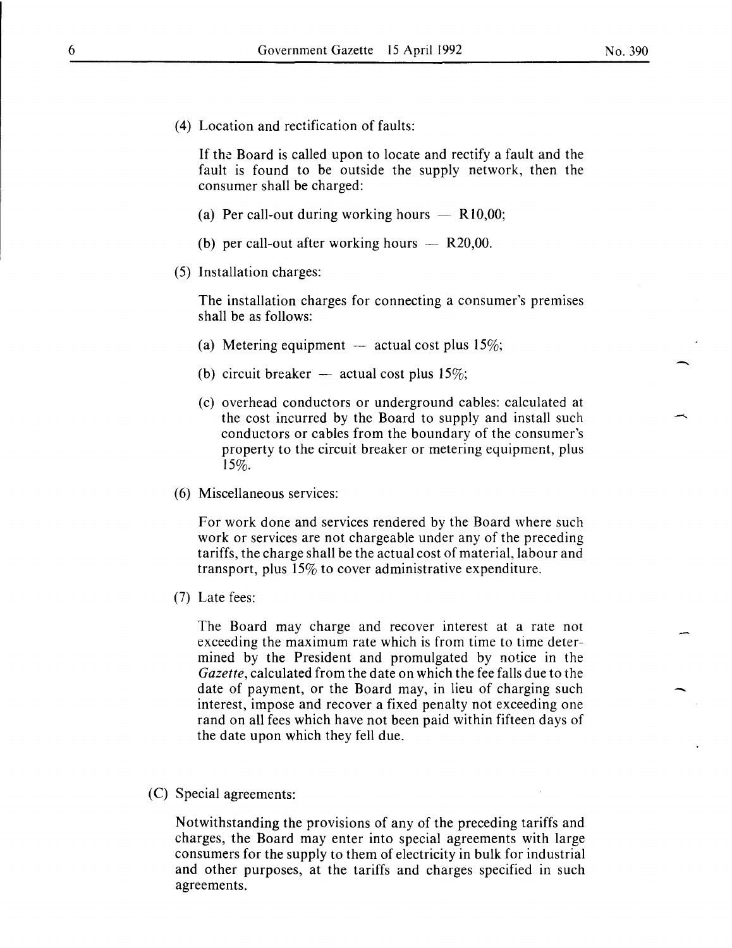( 4) Location and rectification of faults:

If the Board is called upon to locate and rectify a fault and the fault is found to be outside the supply network, then the consumer shall be charged:

- (a) Per call-out during working hours  $-$  R10,00;
- (b) per call-out after working hours  $-$  R20,00.
- (5) Installation charges:

The installation charges for connecting a consumer's premises shall be as follows:

- (a) Metering equipment  $-$  actual cost plus 15%;
- (b) circuit breaker  $-$  actual cost plus 15%;
- (c) overhead conductors or underground cables: calculated at the cost incurred by the Board to supply and install such conductors or cables from the boundary of the consumer's property to the circuit breaker or metering equipment, plus 15%.
- (6) Miscellaneous services:

For work done and services rendered by the Board where such work or services are not chargeable under any of the preceding tariffs, the charge shall be the actual cost of material, labour and transport, plus 15% to cover administrative expenditure.

(7) Late fees:

The Board may charge and recover interest at a rate not exceeding the maximum rate which is from time to time determined by the President and promulgated by notice in the *Gazette,* calculated from the date on which the fee falls due to the date of payment, or the Board may, in lieu of charging such interest, impose and recover a fixed penalty not exceeding one rand on all fees which have not been paid within fifteen days of the date upon which they fell due.

(C) Special agreements:

Notwithstanding the provisions of any of the preceding tariffs and charges, the Board may enter into special agreements with large consumers for the supply to them of electricity in bulk for industrial and other purposes, at the tariffs and charges specified in such agreements.

-

-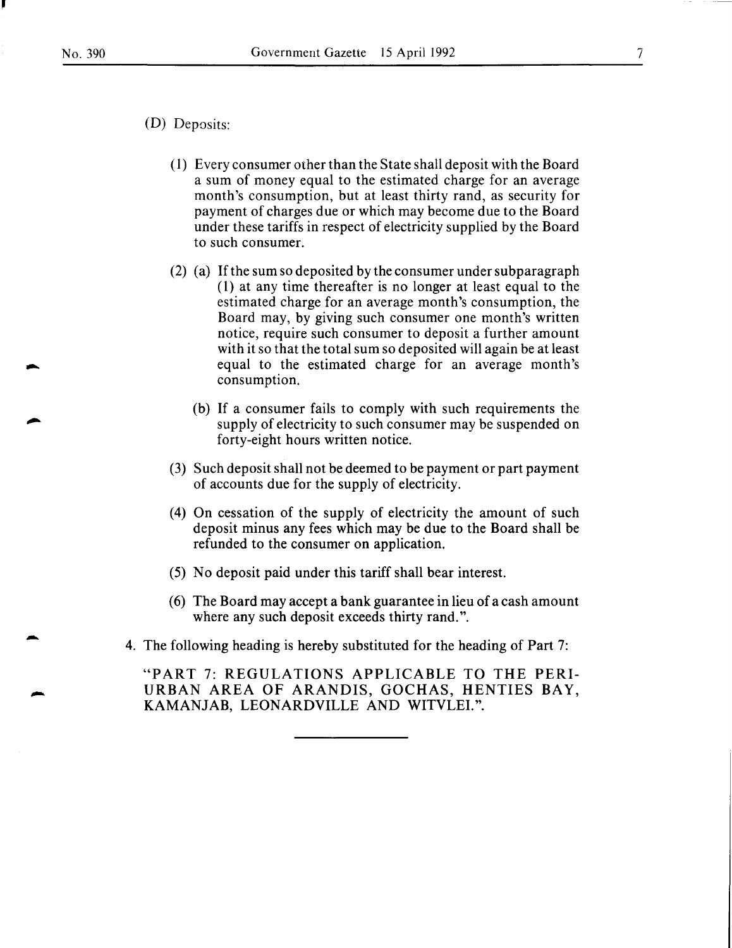I

-

-

-

- (D) Deposits:
	- ( 1) Every consumer other than the State shall deposit with the Board a sum of money equal to the estimated charge for an average month's consumption, but at least thirty rand, as security for payment of charges due or which may become due to the Board under these tariffs in respect of electricity supplied by the Board to such consumer.
	- (2) (a) If the sum so deposited by the consumer under subparagraph (1) at any time thereafter is no longer at least equal to the estimated charge for an average month's consumption, the Board may, by giving such consumer one month's written notice, require such consumer to deposit a further amount with it so that the total sum so deposited will again be at least equal to the estimated charge for an average month's consumption.
		- (b) If a consumer fails to comply with such requirements the supply of electricity to such consumer may be suspended on forty-eight hours written notice.
	- (3) Such deposit shall not be deemed to be payment or part payment of accounts due for the supply of electricity.
	- (4) On cessation of the supply of electricity the amount of such deposit minus any fees which may be due to the Board shall be refunded to the consumer on application.
	- (5) No deposit paid under this tariff shall bear interest.
	- (6) The Board may accept a bank guarantee in lieu of a cash amount where any such deposit exceeds thirty rand.".
- 4. The following heading is hereby substituted for the heading of Part 7:

"PART 7: REGULATIONS APPLICABLE TO THE PERI-URBAN AREA OF ARANDIS, GOCHAS, HENTIES BAY, KAMANJAB, LEONARDVILLE AND WITVLEI.".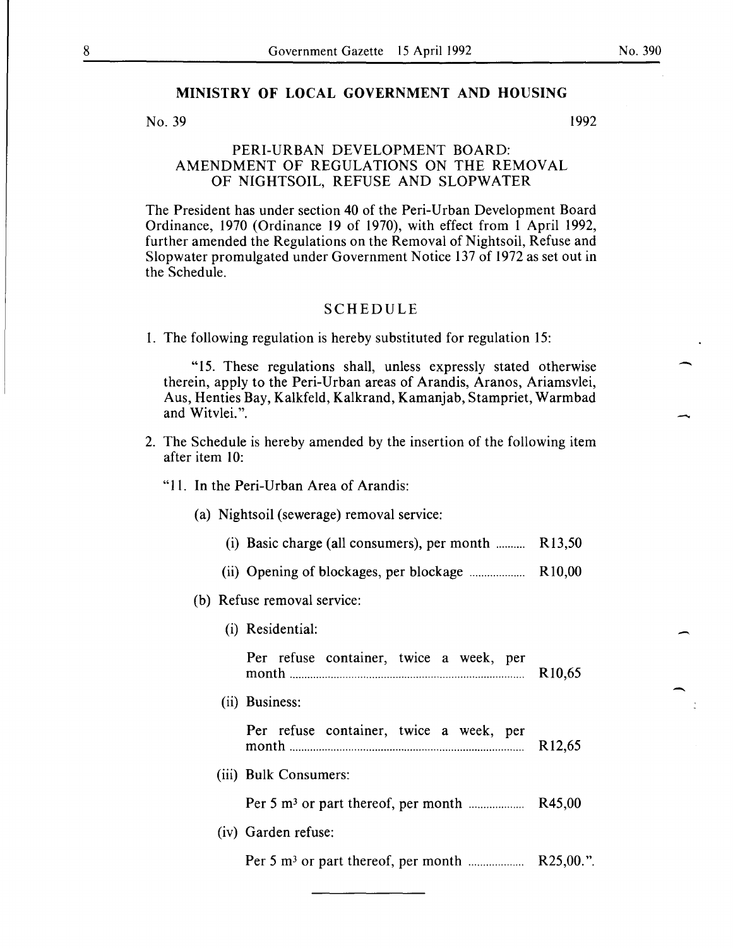#### MINISTRY OF LOCAL GOVERNMENT AND HOUSING

#### No. 39 1992

#### PERI-URBAN DEVELOPMENT BOARD: AMENDMENT OF REGULATIONS ON THE REMOVAL OF NIGHTSOIL, REFUSE AND SLOPWATER

The President has under section 40 of the Peri-Urban Development Board Ordinance, 1970 (Ordinance 19 of 1970), with effect from 1 April 1992, further amended the Regulations on the Removal of Nightsoil, Refuse and Slopwater promulgated under Government Notice 137 of 1972 as set out in the Schedule.

#### SCHEDULE

1. The following regulation is hereby substituted for regulation 15:

"15. These regulations shall, unless expressly stated otherwise therein, apply to the Peri-Urban areas of Arandis, Aranos, Ariamsvlei, Aus, Henties Bay, Kalkfeld, Kalkrand, Kamanjab, Stampriet, Warmbad and Witvlei. ".

2. The Schedule is hereby amended by the insertion of the following item after item 10:

#### "11. In the Peri-Urban Area of Arandis:

- (a) Nightsoil (sewerage) removal service:
	- (i) Basic charge (all consumers), per month  $\ldots$ ........ R13,50
	- (ii) Opening of blockages, per blockage ................... R10,00

#### (b) Refuse removal service:

(i) Residential:

|  | Per refuse container, twice a week, per |  |  |                     |
|--|-----------------------------------------|--|--|---------------------|
|  |                                         |  |  | R <sub>10</sub> ,65 |

(ii) Business:

|  |  | Per refuse container, twice a week, per |  |  |  |  |                     |
|--|--|-----------------------------------------|--|--|--|--|---------------------|
|  |  |                                         |  |  |  |  | R <sub>12</sub> ,65 |

(iii) Bulk Consumers:

Per 5 m3 or part thereof, per month ................... R45,00

(iv) Garden refuse:

Per 5 m3 or part thereof, per month ................... R25,00. ".

-

-

-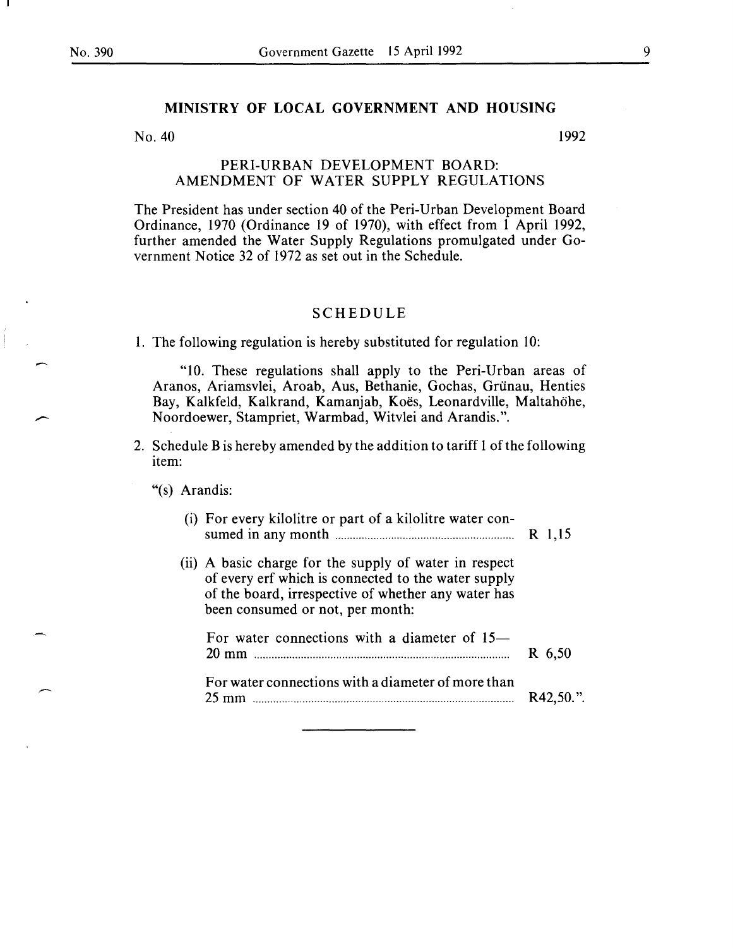-

#### **MINISTRY OF LOCAL GOVERNMENT AND HOUSING**

 $N<sub>0</sub>$ . 40 1992

#### PERI-URBAN DEVELOPMENT BOARD: AMENDMENT OF WATER SUPPLY REGULATIONS

The President has under section 40 of the Peri-Urban Development Board Ordinance, 1970 (Ordinance 19 of 1970), with effect from 1 April 1992, further amended the Water Supply Regulations promulgated under Government Notice 32 of 1972 as set out in the Schedule.

#### SCHEDULE

1. The following regulation is hereby substituted for regulation 10:

"10. These regulations shall apply to the Peri-Urban areas of Aranos, Ariamsvlei, Aroab, Aus, Bethanie, Gochas, Griinau, Henties Bay, Kalkfeld, Kalkrand, Kamanjab, Koës, Leonardville, Maltahöhe, Noordoewer, Stampriet, Warmbad, Witvlei and Arandis.".

2. Schedule **B** is hereby amended by the addition to tariff 1 of the following item:

"(s) Arandis:

| (i) For every kilolitre or part of a kilolitre water con-                                                                                                                                                | R 1,15       |
|----------------------------------------------------------------------------------------------------------------------------------------------------------------------------------------------------------|--------------|
| (ii) A basic charge for the supply of water in respect<br>of every erf which is connected to the water supply<br>of the board, irrespective of whether any water has<br>been consumed or not, per month: |              |
| For water connections with a diameter of $15-$<br>$20 \text{ mm}$                                                                                                                                        | R 6,50       |
| For water connections with a diameter of more than<br>$25 \text{ mm}$                                                                                                                                    | $R42.50.$ ". |
|                                                                                                                                                                                                          |              |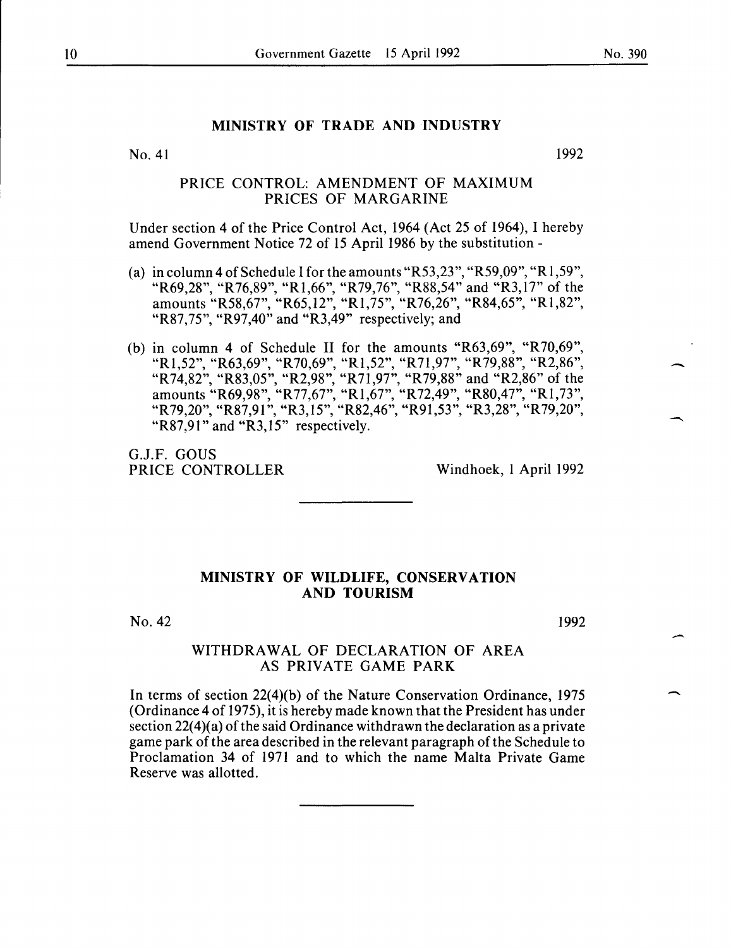-

### MINISTRY OF TRADE AND INDUSTRY

No. 41

1992

#### PRICE CONTROL: AMENDMENT OF MAXIMUM PRICES OF MARGARINE

Under section 4 of the Price Control Act, 1964 (Act 25 of 1964), I hereby amend Government Notice 72 of 15 April 1986 by the substitution-

- (a) in column 4 of Schedule I for the amounts "R53,23", "R59,09", "R1,59", "R69,28", "R76,89", "Rl,66", "R79,76", "R88,54" and "R3,17" of the amounts "R58,67", "R65,12", "Rl,75", "R76,26", "R84,65", "Rl,82", "R87,75", "R97,40" and "R3,49" respectively; and
- (b) in column 4 of Schedule II for the amounts "R63,69", "R70,69", "Rl,52", "R63,69", "R70,69", "Rl,52", "R71,97", "R79,88", "R2,86", "R 74,82", "R83,05", "R2,98", "R 71 ,97", "R 79,88" and "R2,86" of the amounts "R69,98", "R77,67", "R1,67", "R72,49", "R80,47", "R1,73", "R 79, 20", "R 87, 91", "R 3, 15", "R 82, 46", "R 91, 53", "R 3, 28", "R 79, 20", "R87,91" and "R3,15" respectively.

G.J.F. GOUS PRICE CONTROLLER Windhoek, I April 1992

#### MINISTRY OF WILDLIFE, CONSERVATION AND TOURISM

No. 42

1992

#### WITHDRAWAL OF DECLARATION OF AREA AS PRIVATE GAME PARK

In terms of section 22(4)(b) of the Nature Conservation Ordinance, 1975 (Ordinance 4 of 1975), it is hereby made known that the President has under section  $22(4)(a)$  of the said Ordinance withdrawn the declaration as a private game park of the area described in the relevant paragraph of the Schedule to Proclamation 34 of 1971 and to which the name Malta Private Game Reserve was allotted.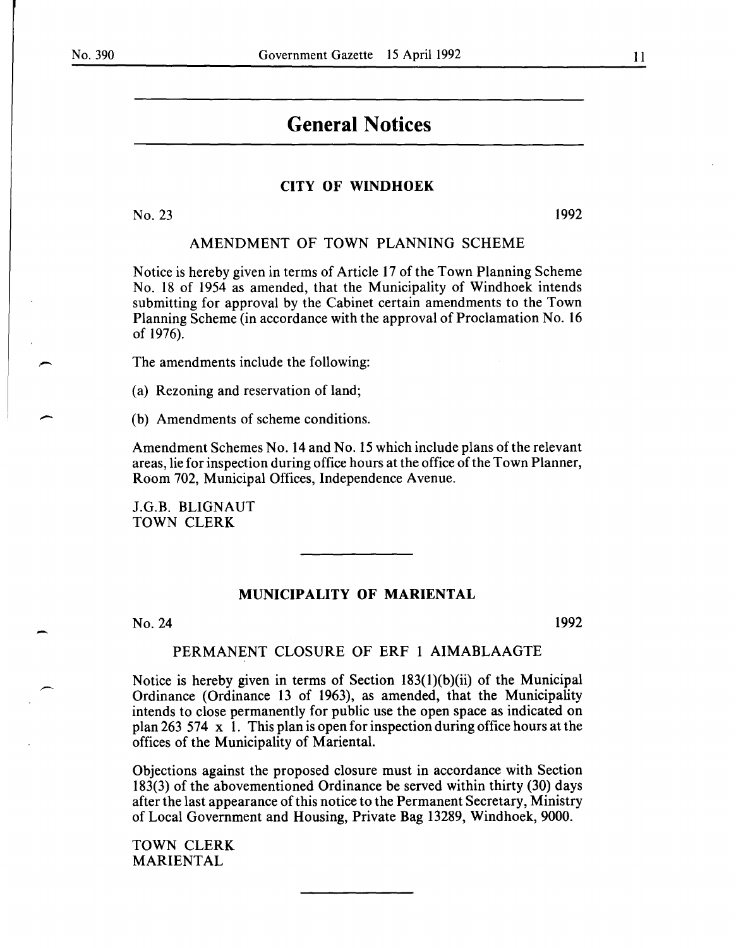-

## **General Notices**

#### CITY OF WINDHOEK

No. 23 1992

#### AMENDMENT OF TOWN PLANNING SCHEME

Notice is hereby given in terms of Article 17 of the Town Planning Scheme No. 18 of 1954 as amended, that the Municipality of Windhoek intends submitting for approval by the Cabinet certain amendments to the Town Planning Scheme (in accordance with the approval of Proclamation No. 16 of 1976).

The amendments include the following:

(a) Rezoning and reservation of land;

(b) Amendments of scheme conditions.

Amendment Schemes No. 14 and No. 15 which include plans of the relevant areas, lie for inspection during office hours at the office of the Town Planner, Room 702, Municipal Offices, Independence Avenue.

J.G.B. BLIGNAUT TOWN CLERK

#### MUNICIPALITY OF MARIENTAL

No. 24

1992

#### PERMANENT CLOSURE OF ERF 1 AIMABLAAGTE

Notice is hereby given in terms of Section 183(1)(b)(ii) of the Municipal Ordinance (Ordinance 13 of 1963), as amended, that the Municipality intends to close permanently for public use the open space as indicated on plan 263 574  $\times$  1. This plan is open for inspection during office hours at the offices of the Municipality of Mariental.

Objections against the proposed closure must in accordance with Section 183(3) of the abovementioned Ordinance be served within thirty (30) days after the last appearance of this notice to the Permanent Secretary, Ministry of Local Government and Housing, Private Bag 13289, Windhoek, 9000.

TOWN CLERK MARIENTAL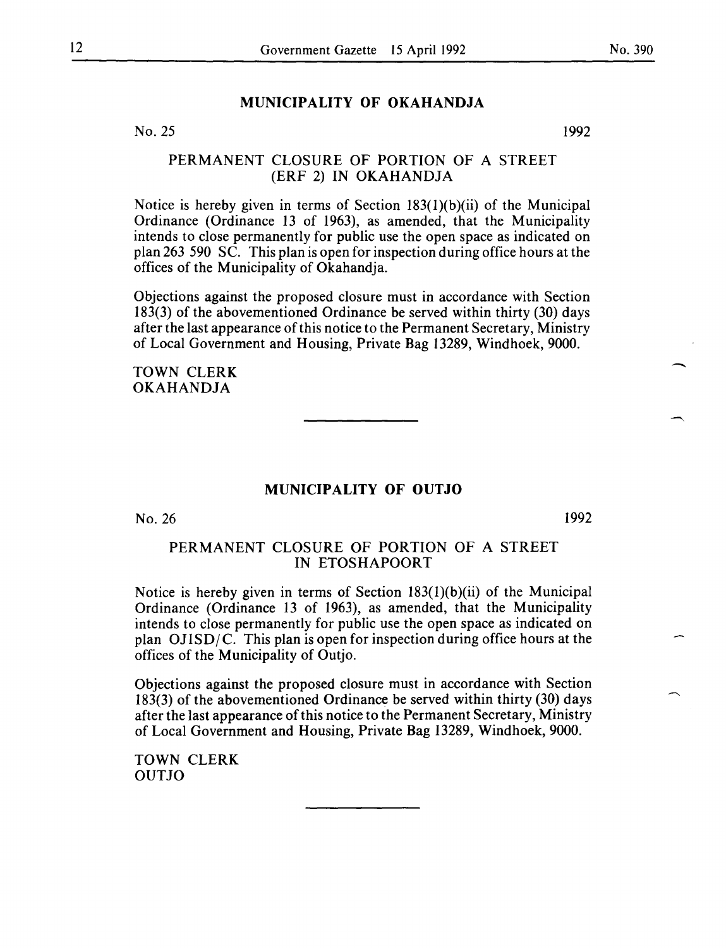#### **MUNICIPALITY OF OKAHANDJA**

No. 25

1992

#### PERMANENT CLOSURE OF PORTION OF A STREET (ERF 2) IN OKAHANDJA

Notice is hereby given in terms of Section 183(l)(b)(ii) of the Municipal Ordinance (Ordinance 13 of 1963), as amended, that the Municipality intends to close permanently for public use the open space as indicated on plan 263 590 SC. This plan is open for inspection during office hours at the offices of the Municipality of Okahandja.

Objections against the proposed closure must in accordance with Section 183(3) of the abovementioned Ordinance be served within thirty (30) days after the last appearance of this notice to the Permanent Secretary, Ministry of Local Government and Housing, Private Bag 13289, Windhoek, 9000.

TOWN CLERK OKAHANDJA

#### **MUNICIPALITY OF OUTJO**

No. 26

1992

#### PERMANENT CLOSURE OF PORTION OF A STREET IN ETOSHAPOORT

Notice is hereby given in terms of Section 183(1)(b)(ii) of the Municipal Ordinance (Ordinance 13 of 1963), as amended, that the Municipality intends to close permanently for public use the open space as indicated on plan  $OJ1SD/C$ . This plan is open for inspection during office hours at the offices of the Municipality of Outjo.

Objections against the proposed closure must in accordance with Section 183(3) of the abovementioned Ordinance be served within thirty (30) days after the last appearance of this notice to the Permanent Secretary, Ministry of Local Government and Housing, Private Bag 13289, Windhoek, 9000.

TOWN CLERK OUTJO

-